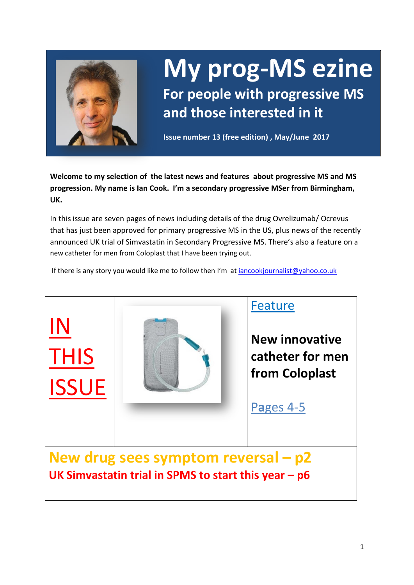

# **My prog-MS ezine For people with progressive MS**

**Issue number 13 (free edition) , May/June 2017**

**and those interested in it**

**Welcome to my selection of the latest news and features about progressive MS and MS progression. My name is Ian Cook. I'm a secondary progressive MSer from Birmingham, UK.** 

In this issue are seven pages of news including details of the drug Ovrelizumab/ Ocrevus that has just been approved for primary progressive MS in the US, plus news of the recently announced UK trial of Simvastatin in Secondary Progressive MS. There's also a feature on a new catheter for men from Coloplast that I have been trying out.

If there is any story you would like me to follow then I'm at [iancookjournalist@yahoo.co.uk](mailto:iancookjournalist@yahoo.co.uk)

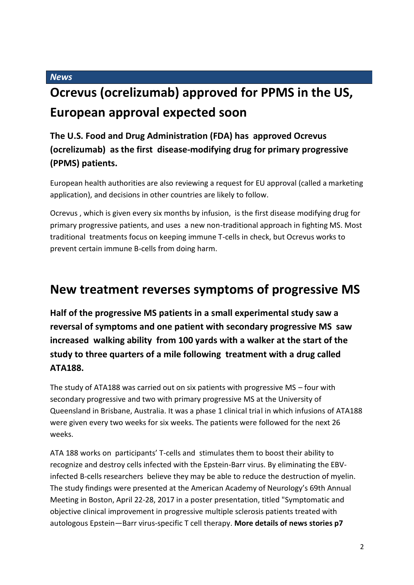*News*

# **Ocrevus (ocrelizumab) approved for PPMS in the US, European approval expected soon**

### **The U.S. Food and Drug Administration (FDA) has approved Ocrevus (ocrelizumab) as the first disease-modifying drug for primary progressive (PPMS) patients.**

European health authorities are also reviewing a request for EU approval (called a marketing application), and decisions in other countries are likely to follow.

Ocrevus , which is given every six months by infusion, is the first disease modifying drug for primary progressive patients, and uses a new non-traditional approach in fighting MS. Most traditional treatments focus on keeping immune T-cells in check, but Ocrevus works to prevent certain immune B-cells from doing harm.

## **New treatment reverses symptoms of progressive MS**

**Half of the progressive MS patients in a small experimental study saw a reversal of symptoms and one patient with secondary progressive MS saw increased walking ability from 100 yards with a walker at the start of the study to three quarters of a mile following treatment with a drug called ATA188.** 

The study of ATA188 was carried out on six patients with progressive MS – four with secondary progressive and two with primary progressive MS at the University of Queensland in Brisbane, Australia. It was a phase 1 clinical trial in which infusions of ATA188 were given every two weeks for six weeks. The patients were followed for the next 26 weeks.

ATA 188 works on participants' T-cells and stimulates them to boost their ability to recognize and destroy cells infected with the Epstein-Barr virus. By eliminating the EBVinfected B-cells researchers believe they may be able to reduce the destruction of myelin. The study findings were presented at the American Academy of Neurology's 69th Annual Meeting in Boston, April 22-28, 2017 in a poster presentation, titled "Symptomatic and objective clinical improvement in progressive multiple sclerosis patients treated with autologous Epstein—Barr virus-specific T cell therapy. **More details of news stories p7**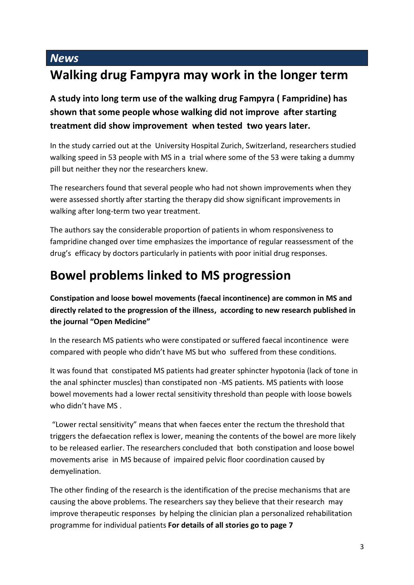# *News* **Walking drug Fampyra may work in the longer term**

**A study into long term use of the walking drug Fampyra ( Fampridine) has shown that some people whose walking did not improve after starting treatment did show improvement when tested two years later.**

In the study carried out at the University Hospital Zurich, Switzerland, researchers studied walking speed in 53 people with MS in a trial where some of the 53 were taking a dummy pill but neither they nor the researchers knew.

The researchers found that several people who had not shown improvements when they were assessed shortly after starting the therapy did show significant improvements in walking after long-term two year treatment.

The authors say the considerable proportion of patients in whom responsiveness to fampridine changed over time emphasizes the importance of regular reassessment of the drug's efficacy by doctors particularly in patients with poor initial drug responses.

# **Bowel problems linked to MS progression**

**Constipation and loose bowel movements (faecal incontinence) are common in MS and directly related to the progression of the illness, according to new research published in the journal "Open Medicine"**

In the research MS patients who were constipated or suffered faecal incontinence were compared with people who didn't have MS but who suffered from these conditions.

It was found that constipated MS patients had greater sphincter hypotonia (lack of tone in the anal sphincter muscles) than constipated non -MS patients. MS patients with loose bowel movements had a lower rectal sensitivity threshold than people with loose bowels who didn't have MS .

"Lower rectal sensitivity" means that when faeces enter the rectum the threshold that triggers the defaecation reflex is lower, meaning the contents of the bowel are more likely to be released earlier. The researchers concluded that both constipation and loose bowel movements arise in MS because of impaired pelvic floor coordination caused by demyelination.

The other finding of the research is the identification of the precise mechanisms that are causing the above problems. The researchers say they believe that their research may improve therapeutic responses by helping the clinician plan a personalized rehabilitation programme for individual patients **For details of all stories go to page 7**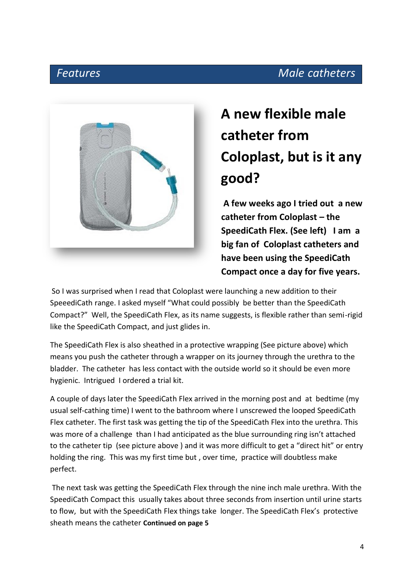## *Features Male catheters*



# **A new flexible male catheter from Coloplast, but is it any good?**

**A few weeks ago I tried out a new catheter from Coloplast – the SpeediCath Flex. (See left) I am a big fan of Coloplast catheters and have been using the SpeediCath Compact once a day for five years.** 

So I was surprised when I read that Coloplast were launching a new addition to their SpeeediCath range. I asked myself "What could possibly be better than the SpeediCath Compact?" Well, the SpeediCath Flex, as its name suggests, is flexible rather than semi-rigid like the SpeediCath Compact, and just glides in.

The SpeediCath Flex is also sheathed in a protective wrapping (See picture above) which means you push the catheter through a wrapper on its journey through the urethra to the bladder. The catheter has less contact with the outside world so it should be even more hygienic. Intrigued I ordered a trial kit.

A couple of days later the SpeediCath Flex arrived in the morning post and at bedtime (my usual self-cathing time) I went to the bathroom where I unscrewed the looped SpeediCath Flex catheter. The first task was getting the tip of the SpeediCath Flex into the urethra. This was more of a challenge than I had anticipated as the blue surrounding ring isn't attached to the catheter tip (see picture above ) and it was more difficult to get a "direct hit" or entry holding the ring. This was my first time but , over time, practice will doubtless make perfect.

The next task was getting the SpeediCath Flex through the nine inch male urethra. With the SpeediCath Compact this usually takes about three seconds from insertion until urine starts to flow, but with the SpeediCath Flex things take longer. The SpeediCath Flex's protective sheath means the catheter **Continued on page 5**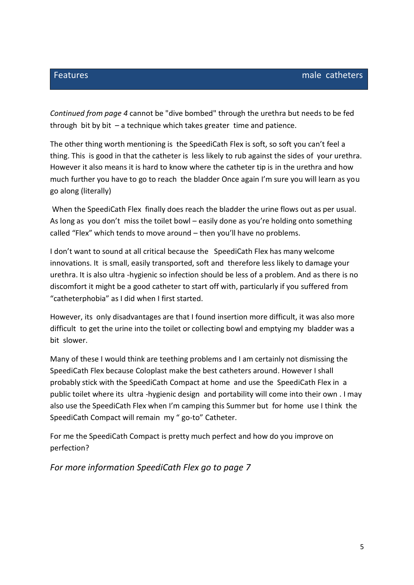*Continued from page 4* cannot be "dive bombed" through the urethra but needs to be fed through bit by bit  $-$  a technique which takes greater time and patience.

The other thing worth mentioning is the SpeediCath Flex is soft, so soft you can't feel a thing. This is good in that the catheter is less likely to rub against the sides of your urethra. However it also means it is hard to know where the catheter tip is in the urethra and how much further you have to go to reach the bladder Once again I'm sure you will learn as you go along (literally)

When the SpeediCath Flex finally does reach the bladder the urine flows out as per usual. As long as you don't miss the toilet bowl – easily done as you're holding onto something called "Flex" which tends to move around – then you'll have no problems.

I don't want to sound at all critical because the SpeediCath Flex has many welcome innovations. It is small, easily transported, soft and therefore less likely to damage your urethra. It is also ultra -hygienic so infection should be less of a problem. And as there is no discomfort it might be a good catheter to start off with, particularly if you suffered from "catheterphobia" as I did when I first started.

However, its only disadvantages are that I found insertion more difficult, it was also more difficult to get the urine into the toilet or collecting bowl and emptying my bladder was a bit slower.

Many of these I would think are teething problems and I am certainly not dismissing the SpeediCath Flex because Coloplast make the best catheters around. However I shall probably stick with the SpeediCath Compact at home and use the SpeediCath Flex in a public toilet where its ultra -hygienic design and portability will come into their own . I may also use the SpeediCath Flex when I'm camping this Summer but for home use I think the SpeediCath Compact will remain my " go-to" Catheter.

For me the SpeediCath Compact is pretty much perfect and how do you improve on perfection?

*For more information SpeediCath Flex go to page 7*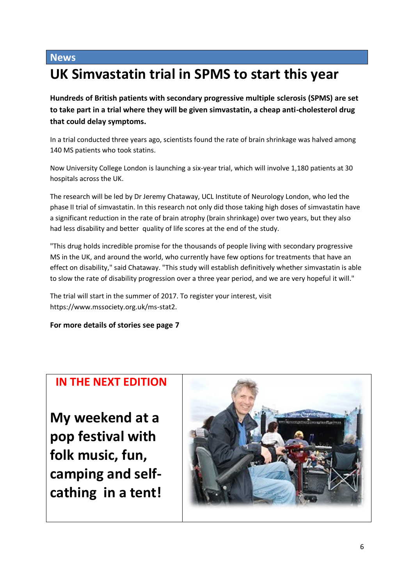#### **News**

# **UK Simvastatin trial in SPMS to start this year**

**Hundreds of British patients with secondary progressive multiple sclerosis (SPMS) are set to take part in a trial where they will be given simvastatin, a cheap anti-cholesterol drug that could delay symptoms.**

In a trial conducted three years ago, scientists found the rate of brain shrinkage was halved among 140 MS patients who took statins.

Now University College London is launching a six-year trial, which will involve 1,180 patients at 30 hospitals across the UK.

The research will be led by Dr Jeremy Chataway, UCL Institute of Neurology London, who led the phase II trial of simvastatin. In this research not only did those taking high doses of simvastatin have a significant reduction in the rate of brain atrophy (brain shrinkage) over two years, but they also had less disability and better quality of life scores at the end of the study.

"This drug holds incredible promise for the thousands of people living with secondary progressive MS in the UK, and around the world, who currently have few options for treatments that have an effect on disability," said Chataway. "This study will establish definitively whether simvastatin is able to slow the rate of disability progression over a three year period, and we are very hopeful it will."

The trial will start in the summer of 2017. To register your interest, visit https://www.mssociety.org.uk/ms-stat2.

#### **For more details of stories see page 7**

### **IN THE NEXT EDITION**

**My weekend at a pop festival with folk music, fun, camping and selfcathing in a tent!**

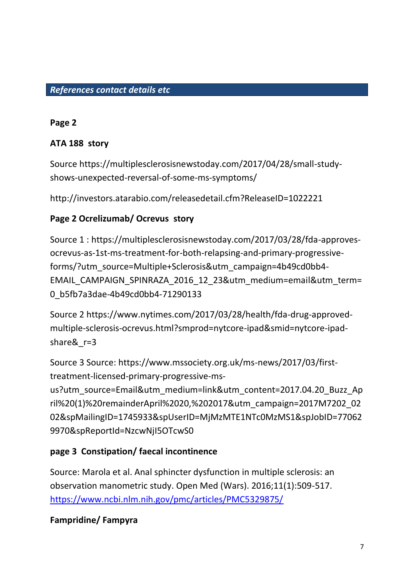#### *References contact details etc*

#### **Page 2**

#### **ATA 188 story**

Source https://multiplesclerosisnewstoday.com/2017/04/28/small-studyshows-unexpected-reversal-of-some-ms-symptoms/

http://investors.atarabio.com/releasedetail.cfm?ReleaseID=1022221

#### **Page 2 Ocrelizumab/ Ocrevus story**

Source 1 : https://multiplesclerosisnewstoday.com/2017/03/28/fda-approvesocrevus-as-1st-ms-treatment-for-both-relapsing-and-primary-progressiveforms/?utm\_source=Multiple+Sclerosis&utm\_campaign=4b49cd0bb4- EMAIL\_CAMPAIGN\_SPINRAZA\_2016\_12\_23&utm\_medium=email&utm\_term= 0\_b5fb7a3dae-4b49cd0bb4-71290133

Source 2 https://www.nytimes.com/2017/03/28/health/fda-drug-approvedmultiple-sclerosis-ocrevus.html?smprod=nytcore-ipad&smid=nytcore-ipadshare& r=3

Source 3 Source: https://www.mssociety.org.uk/ms-news/2017/03/firsttreatment-licensed-primary-progressive-ms-

us?utm\_source=Email&utm\_medium=link&utm\_content=2017.04.20\_Buzz\_Ap ril%20(1)%20remainderApril%2020,%202017&utm\_campaign=2017M7202\_02 02&spMailingID=1745933&spUserID=MjMzMTE1NTc0MzMS1&spJobID=77062 9970&spReportId=NzcwNjI5OTcwS0

#### **page 3 Constipation/ faecal incontinence**

Source: Marola et al. Anal sphincter dysfunction in multiple sclerosis: an observation manometric study. Open Med (Wars). 2016;11(1):509-517. <https://www.ncbi.nlm.nih.gov/pmc/articles/PMC5329875/>

#### **Fampridine/ Fampyra**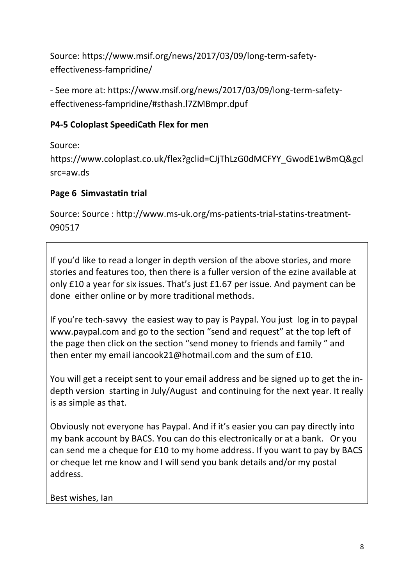Source: https://www.msif.org/news/2017/03/09/long-term-safetyeffectiveness-fampridine/

- See more at: https://www.msif.org/news/2017/03/09/long-term-safetyeffectiveness-fampridine/#sthash.l7ZMBmpr.dpuf

#### **P4-5 Coloplast SpeediCath Flex for men**

Source:

https://www.coloplast.co.uk/flex?gclid=CJjThLzG0dMCFYY\_GwodE1wBmQ&gcl src=aw.ds

### **Page 6 Simvastatin trial**

Source: Source : http://www.ms-uk.org/ms-patients-trial-statins-treatment-090517

If you'd like to read a longer in depth version of the above stories, and more stories and features too, then there is a fuller version of the ezine available at only £10 a year for six issues. That's just £1.67 per issue. And payment can be done either online or by more traditional methods.

If you're tech-savvy the easiest way to pay is Paypal. You just log in to paypal www.paypal.com and go to the section "send and request" at the top left of the page then click on the section "send money to friends and family " and then enter my email iancook21@hotmail.com and the sum of £10.

You will get a receipt sent to your email address and be signed up to get the indepth version starting in July/August and continuing for the next year. It really is as simple as that.

Obviously not everyone has Paypal. And if it's easier you can pay directly into my bank account by BACS. You can do this electronically or at a bank. Or you can send me a cheque for £10 to my home address. If you want to pay by BACS or cheque let me know and I will send you bank details and/or my postal address.

Best wishes, Ian